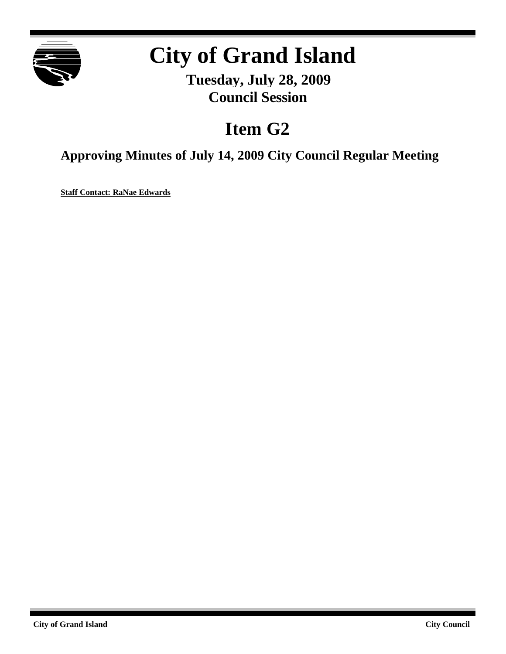

# **City of Grand Island**

**Tuesday, July 28, 2009 Council Session**

# **Item G2**

**Approving Minutes of July 14, 2009 City Council Regular Meeting**

**Staff Contact: RaNae Edwards**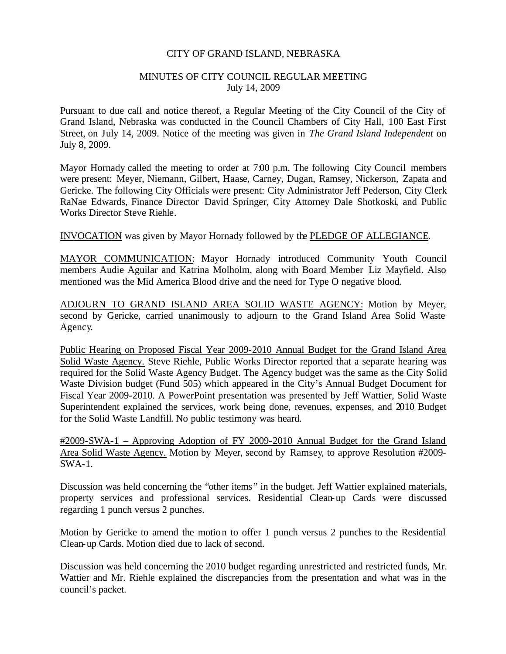#### CITY OF GRAND ISLAND, NEBRASKA

#### MINUTES OF CITY COUNCIL REGULAR MEETING July 14, 2009

Pursuant to due call and notice thereof, a Regular Meeting of the City Council of the City of Grand Island, Nebraska was conducted in the Council Chambers of City Hall, 100 East First Street, on July 14, 2009. Notice of the meeting was given in *The Grand Island Independent* on July 8, 2009.

Mayor Hornady called the meeting to order at 7:00 p.m. The following City Council members were present: Meyer, Niemann, Gilbert, Haase, Carney, Dugan, Ramsey, Nickerson, Zapata and Gericke. The following City Officials were present: City Administrator Jeff Pederson, City Clerk RaNae Edwards, Finance Director David Springer, City Attorney Dale Shotkoski, and Public Works Director Steve Riehle.

INVOCATION was given by Mayor Hornady followed by the PLEDGE OF ALLEGIANCE.

MAYOR COMMUNICATION: Mayor Hornady introduced Community Youth Council members Audie Aguilar and Katrina Molholm, along with Board Member Liz Mayfield. Also mentioned was the Mid America Blood drive and the need for Type O negative blood.

ADJOURN TO GRAND ISLAND AREA SOLID WASTE AGENCY: Motion by Meyer, second by Gericke, carried unanimously to adjourn to the Grand Island Area Solid Waste Agency.

Public Hearing on Proposed Fiscal Year 2009-2010 Annual Budget for the Grand Island Area Solid Waste Agency. Steve Riehle, Public Works Director reported that a separate hearing was required for the Solid Waste Agency Budget. The Agency budget was the same as the City Solid Waste Division budget (Fund 505) which appeared in the City's Annual Budget Document for Fiscal Year 2009-2010. A PowerPoint presentation was presented by Jeff Wattier, Solid Waste Superintendent explained the services, work being done, revenues, expenses, and 2010 Budget for the Solid Waste Landfill. No public testimony was heard.

#2009-SWA-1 – Approving Adoption of FY 2009-2010 Annual Budget for the Grand Island Area Solid Waste Agency. Motion by Meyer, second by Ramsey, to approve Resolution #2009- SWA-1.

Discussion was held concerning the "other items" in the budget. Jeff Wattier explained materials, property services and professional services. Residential Clean-up Cards were discussed regarding 1 punch versus 2 punches.

Motion by Gericke to amend the motion to offer 1 punch versus 2 punches to the Residential Clean-up Cards. Motion died due to lack of second.

Discussion was held concerning the 2010 budget regarding unrestricted and restricted funds, Mr. Wattier and Mr. Riehle explained the discrepancies from the presentation and what was in the council's packet.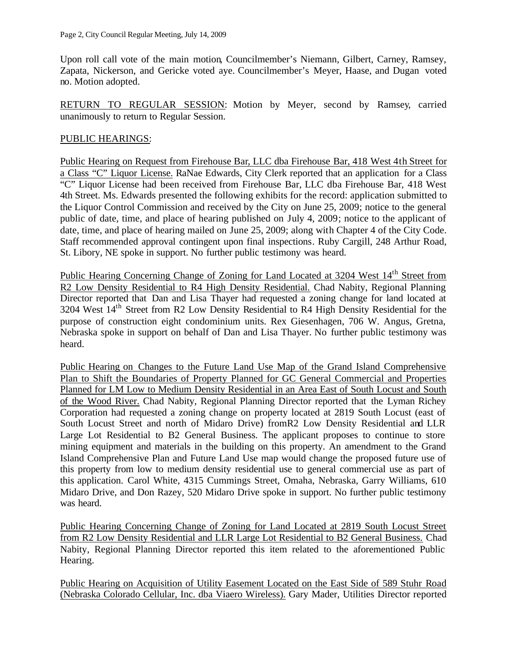Upon roll call vote of the main motion, Councilmember's Niemann, Gilbert, Carney, Ramsey, Zapata, Nickerson, and Gericke voted aye. Councilmember's Meyer, Haase, and Dugan voted no. Motion adopted.

RETURN TO REGULAR SESSION: Motion by Meyer, second by Ramsey, carried unanimously to return to Regular Session.

# PUBLIC HEARINGS:

Public Hearing on Request from Firehouse Bar, LLC dba Firehouse Bar, 418 West 4th Street for a Class "C" Liquor License. RaNae Edwards, City Clerk reported that an application for a Class "C" Liquor License had been received from Firehouse Bar, LLC dba Firehouse Bar, 418 West 4th Street. Ms. Edwards presented the following exhibits for the record: application submitted to the Liquor Control Commission and received by the City on June 25, 2009; notice to the general public of date, time, and place of hearing published on July 4, 2009; notice to the applicant of date, time, and place of hearing mailed on June 25, 2009; along with Chapter 4 of the City Code. Staff recommended approval contingent upon final inspections. Ruby Cargill, 248 Arthur Road, St. Libory, NE spoke in support. No further public testimony was heard.

Public Hearing Concerning Change of Zoning for Land Located at 3204 West 14<sup>th</sup> Street from R2 Low Density Residential to R4 High Density Residential. Chad Nabity, Regional Planning Director reported that Dan and Lisa Thayer had requested a zoning change for land located at 3204 West 14<sup>th</sup> Street from R2 Low Density Residential to R4 High Density Residential for the purpose of construction eight condominium units. Rex Giesenhagen, 706 W. Angus, Gretna, Nebraska spoke in support on behalf of Dan and Lisa Thayer. No further public testimony was heard.

Public Hearing on Changes to the Future Land Use Map of the Grand Island Comprehensive Plan to Shift the Boundaries of Property Planned for GC General Commercial and Properties Planned for LM Low to Medium Density Residential in an Area East of South Locust and South of the Wood River. Chad Nabity, Regional Planning Director reported that the Lyman Richey Corporation had requested a zoning change on property located at 2819 South Locust (east of South Locust Street and north of Midaro Drive) fromR2 Low Density Residential and LLR Large Lot Residential to B2 General Business. The applicant proposes to continue to store mining equipment and materials in the building on this property. An amendment to the Grand Island Comprehensive Plan and Future Land Use map would change the proposed future use of this property from low to medium density residential use to general commercial use as part of this application. Carol White, 4315 Cummings Street, Omaha, Nebraska, Garry Williams, 610 Midaro Drive, and Don Razey, 520 Midaro Drive spoke in support. No further public testimony was heard.

Public Hearing Concerning Change of Zoning for Land Located at 2819 South Locust Street from R2 Low Density Residential and LLR Large Lot Residential to B2 General Business. Chad Nabity, Regional Planning Director reported this item related to the aforementioned Public Hearing.

Public Hearing on Acquisition of Utility Easement Located on the East Side of 589 Stuhr Road (Nebraska Colorado Cellular, Inc. dba Viaero Wireless). Gary Mader, Utilities Director reported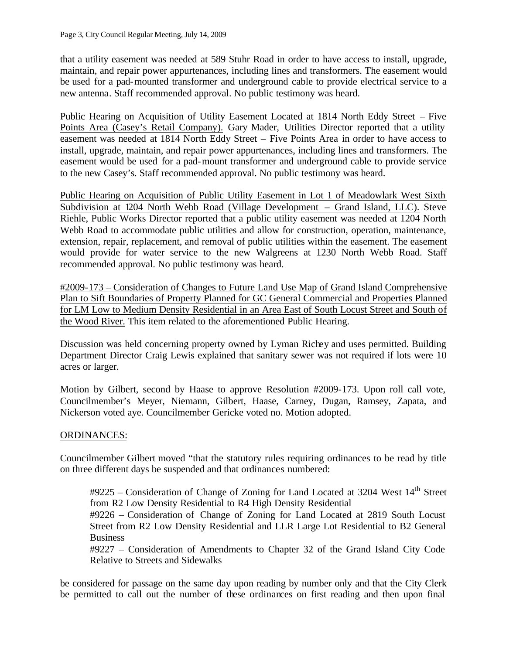that a utility easement was needed at 589 Stuhr Road in order to have access to install, upgrade, maintain, and repair power appurtenances, including lines and transformers. The easement would be used for a pad-mounted transformer and underground cable to provide electrical service to a new antenna. Staff recommended approval. No public testimony was heard.

Public Hearing on Acquisition of Utility Easement Located at 1814 North Eddy Street – Five Points Area (Casey's Retail Company). Gary Mader, Utilities Director reported that a utility easement was needed at 1814 North Eddy Street – Five Points Area in order to have access to install, upgrade, maintain, and repair power appurtenances, including lines and transformers. The easement would be used for a pad-mount transformer and underground cable to provide service to the new Casey's. Staff recommended approval. No public testimony was heard.

Public Hearing on Acquisition of Public Utility Easement in Lot 1 of Meadowlark West Sixth Subdivision at 1204 North Webb Road (Village Development – Grand Island, LLC). Steve Riehle, Public Works Director reported that a public utility easement was needed at 1204 North Webb Road to accommodate public utilities and allow for construction, operation, maintenance, extension, repair, replacement, and removal of public utilities within the easement. The easement would provide for water service to the new Walgreens at 1230 North Webb Road. Staff recommended approval. No public testimony was heard.

#2009-173 – Consideration of Changes to Future Land Use Map of Grand Island Comprehensive Plan to Sift Boundaries of Property Planned for GC General Commercial and Properties Planned for LM Low to Medium Density Residential in an Area East of South Locust Street and South of the Wood River. This item related to the aforementioned Public Hearing.

Discussion was held concerning property owned by Lyman Richey and uses permitted. Building Department Director Craig Lewis explained that sanitary sewer was not required if lots were 10 acres or larger.

Motion by Gilbert, second by Haase to approve Resolution #2009-173. Upon roll call vote, Councilmember's Meyer, Niemann, Gilbert, Haase, Carney, Dugan, Ramsey, Zapata, and Nickerson voted aye. Councilmember Gericke voted no. Motion adopted.

#### ORDINANCES:

Councilmember Gilbert moved "that the statutory rules requiring ordinances to be read by title on three different days be suspended and that ordinances numbered:

#9225 – Consideration of Change of Zoning for Land Located at 3204 West 14th Street from R2 Low Density Residential to R4 High Density Residential

#9226 – Consideration of Change of Zoning for Land Located at 2819 South Locust Street from R2 Low Density Residential and LLR Large Lot Residential to B2 General Business

#9227 – Consideration of Amendments to Chapter 32 of the Grand Island City Code Relative to Streets and Sidewalks

be considered for passage on the same day upon reading by number only and that the City Clerk be permitted to call out the number of these ordinances on first reading and then upon final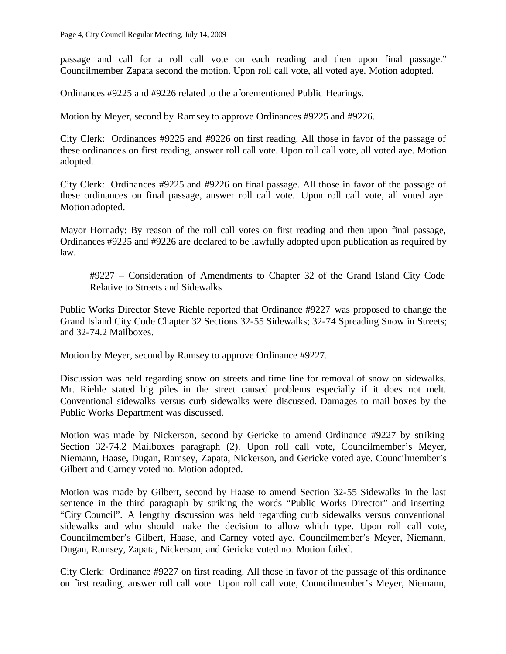passage and call for a roll call vote on each reading and then upon final passage." Councilmember Zapata second the motion. Upon roll call vote, all voted aye. Motion adopted.

Ordinances #9225 and #9226 related to the aforementioned Public Hearings.

Motion by Meyer, second by Ramsey to approve Ordinances #9225 and #9226.

City Clerk: Ordinances #9225 and #9226 on first reading. All those in favor of the passage of these ordinances on first reading, answer roll call vote. Upon roll call vote, all voted aye. Motion adopted.

City Clerk: Ordinances #9225 and #9226 on final passage. All those in favor of the passage of these ordinances on final passage, answer roll call vote. Upon roll call vote, all voted aye. Motion adopted.

Mayor Hornady: By reason of the roll call votes on first reading and then upon final passage, Ordinances #9225 and #9226 are declared to be lawfully adopted upon publication as required by law.

#9227 – Consideration of Amendments to Chapter 32 of the Grand Island City Code Relative to Streets and Sidewalks

Public Works Director Steve Riehle reported that Ordinance #9227 was proposed to change the Grand Island City Code Chapter 32 Sections 32-55 Sidewalks; 32-74 Spreading Snow in Streets; and 32-74.2 Mailboxes.

Motion by Meyer, second by Ramsey to approve Ordinance #9227.

Discussion was held regarding snow on streets and time line for removal of snow on sidewalks. Mr. Riehle stated big piles in the street caused problems especially if it does not melt. Conventional sidewalks versus curb sidewalks were discussed. Damages to mail boxes by the Public Works Department was discussed.

Motion was made by Nickerson, second by Gericke to amend Ordinance #9227 by striking Section 32-74.2 Mailboxes paragraph (2). Upon roll call vote, Councilmember's Meyer, Niemann, Haase, Dugan, Ramsey, Zapata, Nickerson, and Gericke voted aye. Councilmember's Gilbert and Carney voted no. Motion adopted.

Motion was made by Gilbert, second by Haase to amend Section 32-55 Sidewalks in the last sentence in the third paragraph by striking the words "Public Works Director" and inserting "City Council". A lengthy discussion was held regarding curb sidewalks versus conventional sidewalks and who should make the decision to allow which type. Upon roll call vote, Councilmember's Gilbert, Haase, and Carney voted aye. Councilmember's Meyer, Niemann, Dugan, Ramsey, Zapata, Nickerson, and Gericke voted no. Motion failed.

City Clerk: Ordinance #9227 on first reading. All those in favor of the passage of this ordinance on first reading, answer roll call vote. Upon roll call vote, Councilmember's Meyer, Niemann,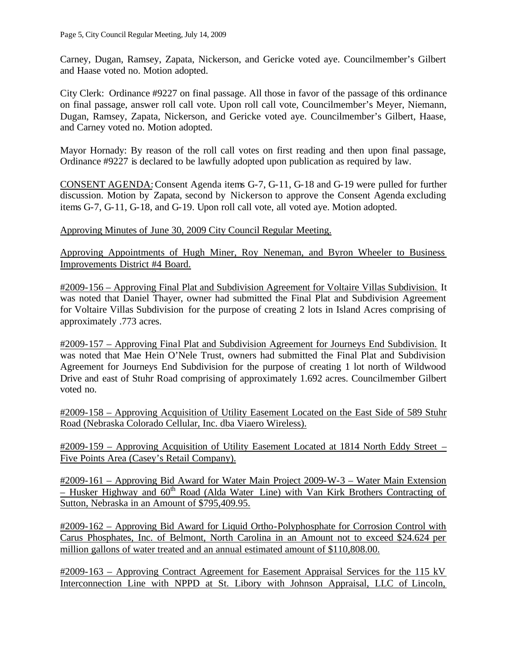Carney, Dugan, Ramsey, Zapata, Nickerson, and Gericke voted aye. Councilmember's Gilbert and Haase voted no. Motion adopted.

City Clerk: Ordinance #9227 on final passage. All those in favor of the passage of this ordinance on final passage, answer roll call vote. Upon roll call vote, Councilmember's Meyer, Niemann, Dugan, Ramsey, Zapata, Nickerson, and Gericke voted aye. Councilmember's Gilbert, Haase, and Carney voted no. Motion adopted.

Mayor Hornady: By reason of the roll call votes on first reading and then upon final passage, Ordinance #9227 is declared to be lawfully adopted upon publication as required by law.

CONSENT AGENDA:Consent Agenda items G-7, G-11, G-18 and G-19 were pulled for further discussion. Motion by Zapata, second by Nickerson to approve the Consent Agenda excluding items G-7, G-11, G-18, and G-19. Upon roll call vote, all voted aye. Motion adopted.

Approving Minutes of June 30, 2009 City Council Regular Meeting.

Approving Appointments of Hugh Miner, Roy Neneman, and Byron Wheeler to Business Improvements District #4 Board.

#2009-156 – Approving Final Plat and Subdivision Agreement for Voltaire Villas Subdivision. It was noted that Daniel Thayer, owner had submitted the Final Plat and Subdivision Agreement for Voltaire Villas Subdivision for the purpose of creating 2 lots in Island Acres comprising of approximately .773 acres.

#2009-157 – Approving Final Plat and Subdivision Agreement for Journeys End Subdivision. It was noted that Mae Hein O'Nele Trust, owners had submitted the Final Plat and Subdivision Agreement for Journeys End Subdivision for the purpose of creating 1 lot north of Wildwood Drive and east of Stuhr Road comprising of approximately 1.692 acres. Councilmember Gilbert voted no.

#2009-158 – Approving Acquisition of Utility Easement Located on the East Side of 589 Stuhr Road (Nebraska Colorado Cellular, Inc. dba Viaero Wireless).

#2009-159 – Approving Acquisition of Utility Easement Located at 1814 North Eddy Street – Five Points Area (Casey's Retail Company).

#2009-161 – Approving Bid Award for Water Main Project 2009-W-3 – Water Main Extension – Husker Highway and  $60<sup>th</sup>$  Road (Alda Water Line) with Van Kirk Brothers Contracting of Sutton, Nebraska in an Amount of \$795,409.95.

#2009-162 – Approving Bid Award for Liquid Ortho-Polyphosphate for Corrosion Control with Carus Phosphates, Inc. of Belmont, North Carolina in an Amount not to exceed \$24.624 per million gallons of water treated and an annual estimated amount of \$110,808.00.

#2009-163 – Approving Contract Agreement for Easement Appraisal Services for the 115 kV Interconnection Line with NPPD at St. Libory with Johnson Appraisal, LLC of Lincoln,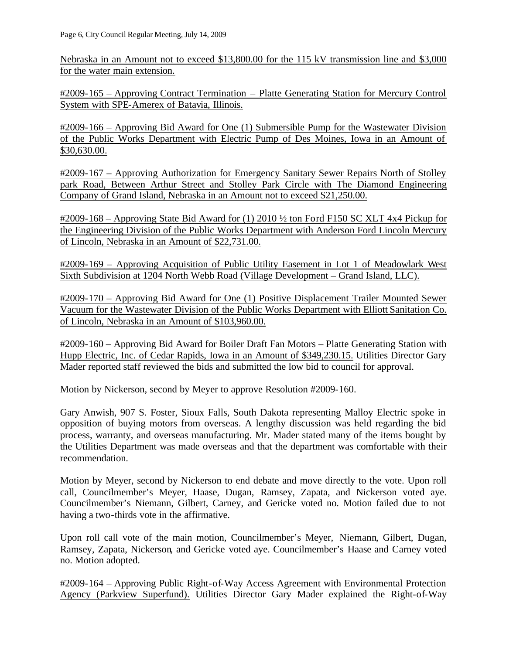Nebraska in an Amount not to exceed \$13,800.00 for the 115 kV transmission line and \$3,000 for the water main extension.

#2009-165 – Approving Contract Termination – Platte Generating Station for Mercury Control System with SPE-Amerex of Batavia, Illinois.

#2009-166 – Approving Bid Award for One (1) Submersible Pump for the Wastewater Division of the Public Works Department with Electric Pump of Des Moines, Iowa in an Amount of \$30,630.00.

#2009-167 – Approving Authorization for Emergency Sanitary Sewer Repairs North of Stolley park Road, Between Arthur Street and Stolley Park Circle with The Diamond Engineering Company of Grand Island, Nebraska in an Amount not to exceed \$21,250.00.

#2009-168 – Approving State Bid Award for (1) 2010 ½ ton Ford F150 SC XLT 4x4 Pickup for the Engineering Division of the Public Works Department with Anderson Ford Lincoln Mercury of Lincoln, Nebraska in an Amount of \$22,731.00.

#2009-169 – Approving Acquisition of Public Utility Easement in Lot 1 of Meadowlark West Sixth Subdivision at 1204 North Webb Road (Village Development – Grand Island, LLC).

#2009-170 – Approving Bid Award for One (1) Positive Displacement Trailer Mounted Sewer Vacuum for the Wastewater Division of the Public Works Department with Elliott Sanitation Co. of Lincoln, Nebraska in an Amount of \$103,960.00.

#2009-160 – Approving Bid Award for Boiler Draft Fan Motors – Platte Generating Station with Hupp Electric, Inc. of Cedar Rapids, Iowa in an Amount of \$349,230.15. Utilities Director Gary Mader reported staff reviewed the bids and submitted the low bid to council for approval.

Motion by Nickerson, second by Meyer to approve Resolution #2009-160.

Gary Anwish, 907 S. Foster, Sioux Falls, South Dakota representing Malloy Electric spoke in opposition of buying motors from overseas. A lengthy discussion was held regarding the bid process, warranty, and overseas manufacturing. Mr. Mader stated many of the items bought by the Utilities Department was made overseas and that the department was comfortable with their recommendation.

Motion by Meyer, second by Nickerson to end debate and move directly to the vote. Upon roll call, Councilmember's Meyer, Haase, Dugan, Ramsey, Zapata, and Nickerson voted aye. Councilmember's Niemann, Gilbert, Carney, and Gericke voted no. Motion failed due to not having a two-thirds vote in the affirmative.

Upon roll call vote of the main motion, Councilmember's Meyer, Niemann, Gilbert, Dugan, Ramsey, Zapata, Nickerson, and Gericke voted aye. Councilmember's Haase and Carney voted no. Motion adopted.

#2009-164 – Approving Public Right-of-Way Access Agreement with Environmental Protection Agency (Parkview Superfund). Utilities Director Gary Mader explained the Right-of-Way